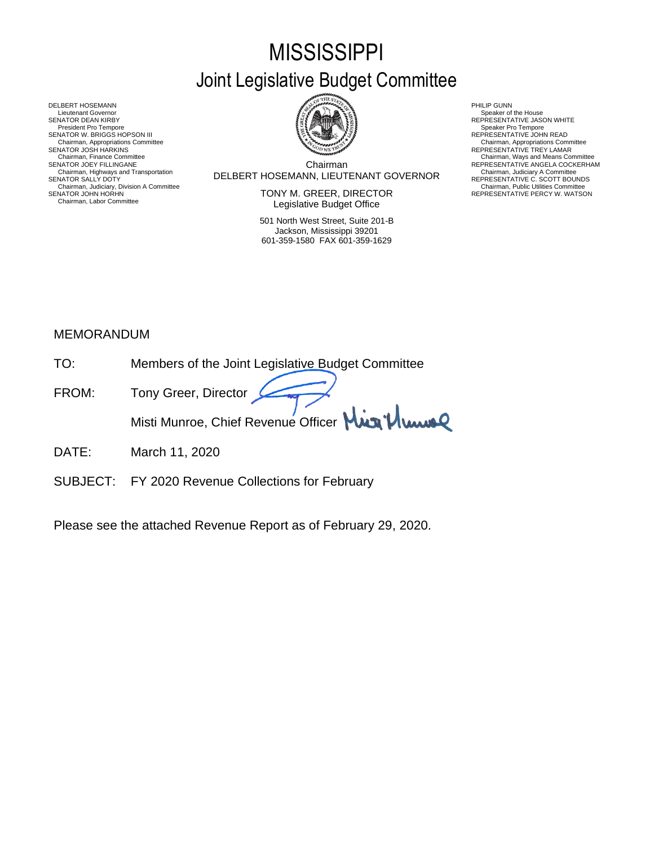# **MISSISSIPPI** Joint Legislative Budget Committee

Chairman SENATOR W. BRIGGS HOPSON III READ AND READ AND READ AND REPRESENTATIVE JOHN READ Chairman, Finance Committee Chairman, Ways and Means Committee Chairman, Ways and Means Committee Chairman Chairman Chairman Chairman Chairman Chairman Chairman Chairman Chairman Chairman Chairman Chairman Chairman Chairma

SENATOR JOHN HORHN NEWSTATIVE PERCY W. WATSON TONY M. GREER, DIRECTOR THE REPRESENTATIVE PERCY W. WATSON Legislative Budget Office

> 501 North West Street, Suite 201-B Jackson, Mississippi 39201 601-359-1580 FAX 601-359-1629

- 
- 
- Chairman, Appropriations Committee<br>REPRESENTATIVE TREY LAMAR
- 
- REPRESENTATIVE ANGELA COCKERHAM<br>Chairman, Judiciary A Committee<br>REPRESENTATIVE C. SCOTT BOUNDS<br>Chairman, Public Utilities Committee<br>REPRESENTATIVE PERCY W. WATSON

DELBERT HOSEMANN, LIEUTENANT GOVERNOR Chairman, Highways and Transportation Chairman, Judiciary A Committee SENATOR SALLY DOTY REPRESENTATIVE C. SCOTT BOUNDS DELBERT HOSEMANN PHILIP GUNN<br>Lieutenant Governor (Philip Gunn) and the company of the company of the company of the company of the company<br>SENATOR DEAN KIRBY (PHILIP GUNN) AND REPRESENTA Lieutenant Governor Nine House<br>SENATOR DEAN KIRBY REPRESENTATIVE JASON WHITE<br>President Pro Tempore Speaker Pro Tempore Chairman, Appropriations Committee<br>SENATOR JOSH HARKINS<br>Chairman, Finance Committee Chairman, Highways and Transportation<br>SENATOR SALLY DOTY<br>Chairman, Judiciary, Division A Committee<br>Chairman, Judiciary, Division A Committee<br>SENATOR JOHN HORHN Chairman, Labor Committee

## MEMORANDUM

| TO:   | Members of the Joint Legislative Budget Committee |
|-------|---------------------------------------------------|
| FROM: | Tony Greer, Director                              |
|       | Misti Munroe, Chief Revenue Officer Min Plume     |

- DATE: March 11, 2020
- SUBJECT: FY 2020 Revenue Collections for February

Please see the attached Revenue Report as of February 29, 2020.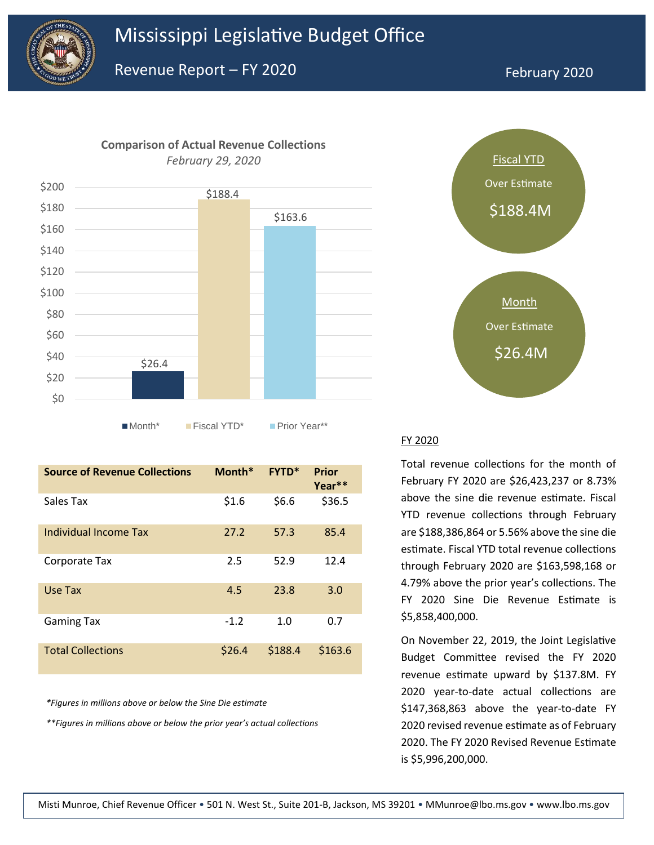

\$200





Month\* Fiscal YTD\* Prior Year\*\*

| <b>Source of Revenue Collections</b> | Month* | <b>FYTD*</b> | <b>Prior</b><br>Year** |
|--------------------------------------|--------|--------------|------------------------|
| Sales Tax                            | \$1.6  | \$6.6        | \$36.5                 |
| Individual Income Tax                | 27.2   | 57.3         | 85.4                   |
| Corporate Tax                        | 2.5    | 52.9         | 12.4                   |
| Use Tax                              | 4.5    | 23.8         | 3.0                    |
| <b>Gaming Tax</b>                    | $-1.2$ | 1.0          | 0.7                    |
| <b>Total Collections</b>             | \$26.4 | \$188.4      | \$163.6                |

*\*Figures in millions above or below the Sine Die estimate*

*\*\*Figures in millions above or below the prior year's actual collections*



#### FY 2020

Total revenue collections for the month of February FY 2020 are \$26,423,237 or 8.73% above the sine die revenue estimate. Fiscal YTD revenue collections through February are \$188,386,864 or 5.56% above the sine die estimate. Fiscal YTD total revenue collections through February 2020 are \$163,598,168 or 4.79% above the prior year's collections. The FY 2020 Sine Die Revenue Estimate is \$5,858,400,000.

On November 22, 2019, the Joint Legislative Budget Committee revised the FY 2020 revenue estimate upward by \$137.8M. FY 2020 year-to-date actual collections are \$147,368,863 above the year-to-date FY 2020 revised revenue estimate as of February 2020. The FY 2020 Revised Revenue Estimate is \$5,996,200,000.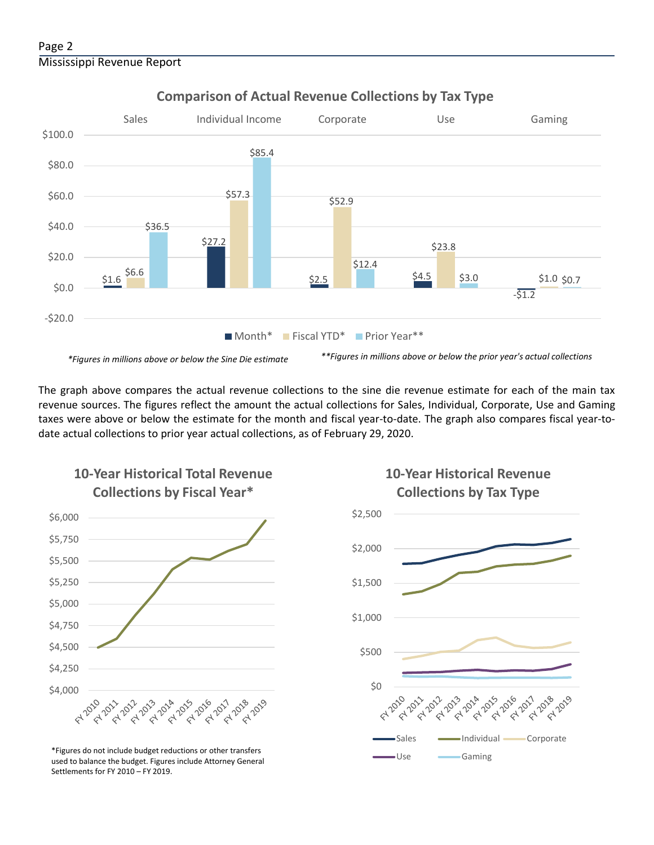

## **Comparison of Actual Revenue Collections by Tax Type**

The graph above compares the actual revenue collections to the sine die revenue estimate for each of the main tax revenue sources. The figures reflect the amount the actual collections for Sales, Individual, Corporate, Use and Gaming taxes were above or below the estimate for the month and fiscal year-to-date. The graph also compares fiscal year-todate actual collections to prior year actual collections, as of February 29, 2020.



**10-Year Historical Total Revenue** 

Use Gaming \*Figures do not include budget reductions or other transfers used to balance the budget. Figures include Attorney General Settlements for FY 2010 – FY 2019.



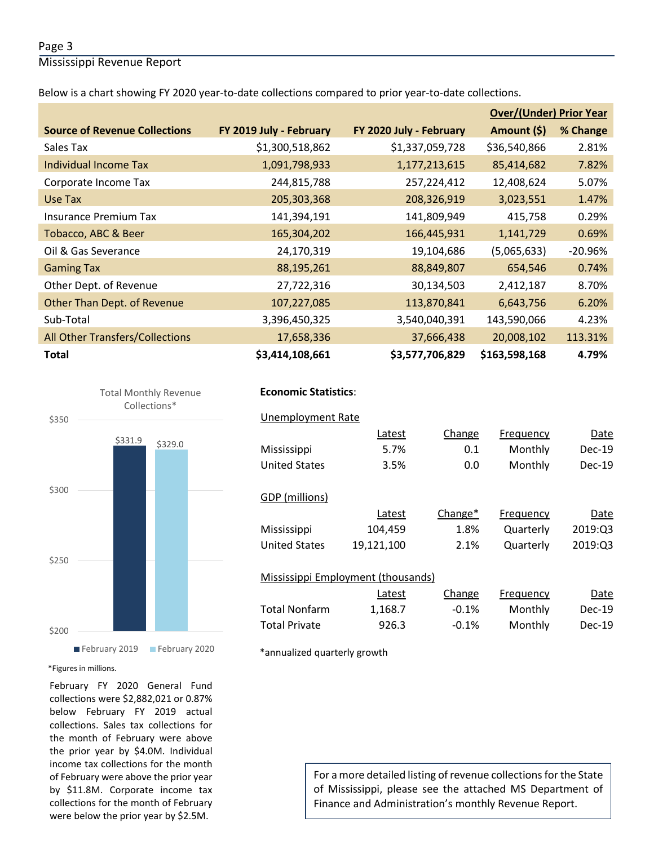### Page 3

Mississippi Revenue Report

Below is a chart showing FY 2020 year-to-date collections compared to prior year-to-date collections.

|                                        |                         |                         | <b>Over/(Under) Prior Year</b> |           |
|----------------------------------------|-------------------------|-------------------------|--------------------------------|-----------|
| <b>Source of Revenue Collections</b>   | FY 2019 July - February | FY 2020 July - February | Amount (\$)                    | % Change  |
| Sales Tax                              | \$1,300,518,862         | \$1,337,059,728         | \$36,540,866                   | 2.81%     |
| Individual Income Tax                  | 1,091,798,933           | 1,177,213,615           | 85,414,682                     | 7.82%     |
| Corporate Income Tax                   | 244,815,788             | 257,224,412             | 12,408,624                     | 5.07%     |
| Use Tax                                | 205,303,368             | 208,326,919             | 3,023,551                      | 1.47%     |
| Insurance Premium Tax                  | 141,394,191             | 141,809,949             | 415,758                        | 0.29%     |
| Tobacco, ABC & Beer                    | 165,304,202             | 166,445,931             | 1,141,729                      | 0.69%     |
| Oil & Gas Severance                    | 24,170,319              | 19,104,686              | (5,065,633)                    | $-20.96%$ |
| <b>Gaming Tax</b>                      | 88,195,261              | 88,849,807              | 654,546                        | 0.74%     |
| Other Dept. of Revenue                 | 27,722,316              | 30,134,503              | 2,412,187                      | 8.70%     |
| Other Than Dept. of Revenue            | 107,227,085             | 113,870,841             | 6,643,756                      | 6.20%     |
| Sub-Total                              | 3,396,450,325           | 3,540,040,391           | 143,590,066                    | 4.23%     |
| <b>All Other Transfers/Collections</b> | 17,658,336              | 37,666,438              | 20,008,102                     | 113.31%   |
| <b>Total</b>                           | \$3,414,108,661         | \$3,577,706,829         | \$163,598,168                  | 4.79%     |



## **Economic Statistics**:  **Economic Statistics**:

## Unemployment Rate Unemployment Rate

|                                    | Latest     | Change              | Frequency | Date          |
|------------------------------------|------------|---------------------|-----------|---------------|
| Mississippi                        | 5.7%       | 0.1                 | Monthly   | $Dec-19$      |
| <b>United States</b>               | 3.5%       | 0.0                 | Monthly   | $Dec-19$      |
|                                    |            |                     |           |               |
| GDP (millions)                     |            |                     |           |               |
|                                    | Latest     | Change <sup>*</sup> | Frequency | Date          |
| Mississippi                        | 104,459    | 1.8%                | Quarterly | 2019:Q3       |
| <b>United States</b>               | 19,121,100 | 2.1%                | Quarterly | 2019:Q3       |
|                                    |            |                     |           |               |
| Mississippi Employment (thousands) |            |                     |           |               |
|                                    | Latest     | Change              | Frequency | Date          |
| <b>Total Nonfarm</b>               | 1,168.7    | $-0.1%$             | Monthly   | <b>Dec-19</b> |
| <b>Total Private</b>               | 926.3      | $-0.1%$             | Monthly   | $Dec-19$      |

\*annualized quarterly growth

#### \*Figures in millions.

February FY 2020 General Fund collections were \$2,882,021 or 0.87% below February FY 2019 actual collections. Sales tax collections for the month of February were above the prior year by \$4.0M. Individual income tax collections for the month of February were above the prior year by \$11.8M. Corporate income tax collections for the month of February were below the prior year by \$2.5M.

For a more detailed listing of revenue collections for the State of Mississippi, please see the attached MS Department of Finance and Administration's monthly Revenue Report.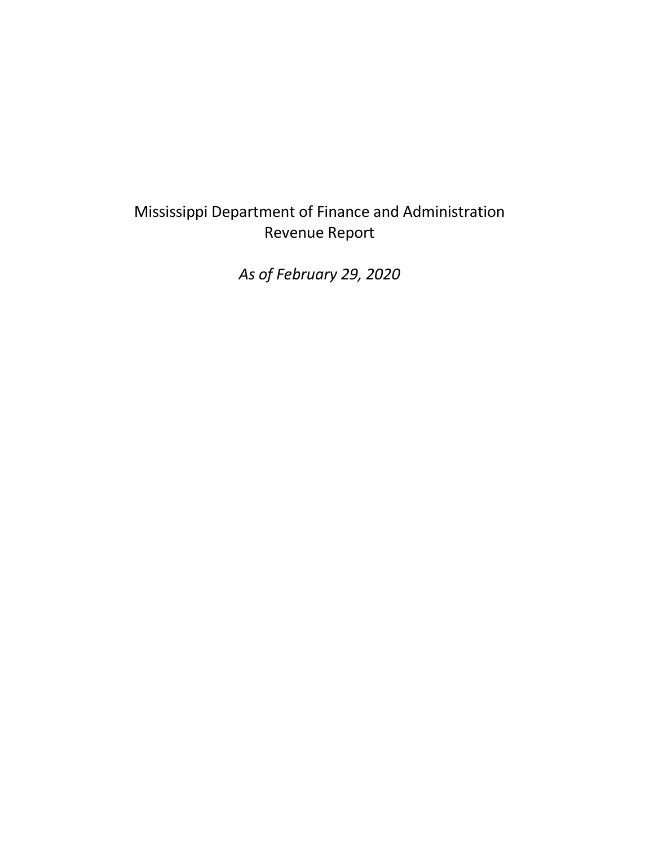## Mississippi Department of Finance and Administration Revenue Report

*As of February 29, 2020*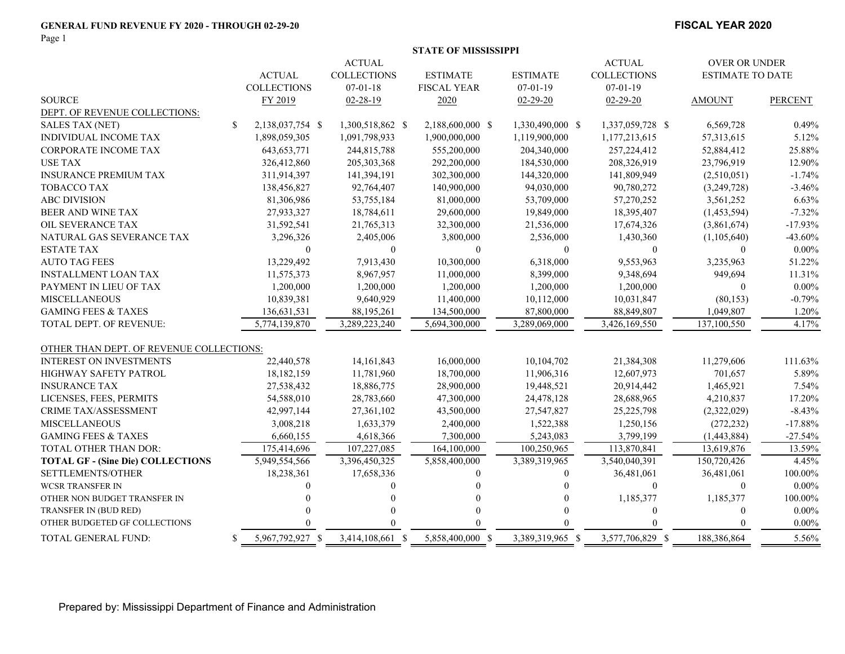#### **GENERAL FUND REVENUE FY 2020 - THROUGH 02-29-20**

Page 1

#### **FISCAL YEAR 2020**

|                                          |               |                    |                    | <b>STATE OF MISSISSIPPI</b> |                  |                    |                         |                |
|------------------------------------------|---------------|--------------------|--------------------|-----------------------------|------------------|--------------------|-------------------------|----------------|
|                                          |               |                    | <b>ACTUAL</b>      |                             |                  | <b>ACTUAL</b>      | OVER OR UNDER           |                |
|                                          |               | <b>ACTUAL</b>      | <b>COLLECTIONS</b> | <b>ESTIMATE</b>             | <b>ESTIMATE</b>  | <b>COLLECTIONS</b> | <b>ESTIMATE TO DATE</b> |                |
|                                          |               | <b>COLLECTIONS</b> | $07-01-18$         | <b>FISCAL YEAR</b>          | $07-01-19$       | $07-01-19$         |                         |                |
| <b>SOURCE</b>                            |               | FY 2019            | $02 - 28 - 19$     | 2020                        | $02 - 29 - 20$   | $02 - 29 - 20$     | <b>AMOUNT</b>           | <b>PERCENT</b> |
| DEPT. OF REVENUE COLLECTIONS:            |               |                    |                    |                             |                  |                    |                         |                |
| <b>SALES TAX (NET)</b>                   | <sup>\$</sup> | 2,138,037,754 \$   | 1,300,518,862 \$   | 2,188,600,000 \$            | 1,330,490,000 \$ | 1,337,059,728 \$   | 6,569,728               | 0.49%          |
| <b>INDIVIDUAL INCOME TAX</b>             |               | 1,898,059,305      | 1,091,798,933      | 1,900,000,000               | 1,119,900,000    | 1,177,213,615      | 57,313,615              | 5.12%          |
| CORPORATE INCOME TAX                     |               | 643, 653, 771      | 244,815,788        | 555,200,000                 | 204,340,000      | 257, 224, 412      | 52,884,412              | 25.88%         |
| <b>USE TAX</b>                           |               | 326,412,860        | 205, 303, 368      | 292,200,000                 | 184,530,000      | 208,326,919        | 23,796,919              | 12.90%         |
| <b>INSURANCE PREMIUM TAX</b>             |               | 311,914,397        | 141,394,191        | 302,300,000                 | 144,320,000      | 141,809,949        | (2,510,051)             | $-1.74%$       |
| <b>TOBACCO TAX</b>                       |               | 138,456,827        | 92,764,407         | 140,900,000                 | 94,030,000       | 90,780,272         | (3,249,728)             | $-3.46%$       |
| <b>ABC DIVISION</b>                      |               | 81,306,986         | 53,755,184         | 81,000,000                  | 53,709,000       | 57,270,252         | 3,561,252               | 6.63%          |
| BEER AND WINE TAX                        |               | 27,933,327         | 18,784,611         | 29,600,000                  | 19,849,000       | 18,395,407         | (1,453,594)             | $-7.32%$       |
| OIL SEVERANCE TAX                        |               | 31,592,541         | 21,765,313         | 32,300,000                  | 21,536,000       | 17,674,326         | (3,861,674)             | $-17.93%$      |
| NATURAL GAS SEVERANCE TAX                |               | 3,296,326          | 2,405,006          | 3,800,000                   | 2,536,000        | 1,430,360          | (1,105,640)             | $-43.60%$      |
| <b>ESTATE TAX</b>                        |               | $\Omega$           | $\Omega$           | $\theta$                    | $\mathbf{0}$     | $\theta$           | $\overline{0}$          | $0.00\%$       |
| <b>AUTO TAG FEES</b>                     |               | 13,229,492         | 7,913,430          | 10,300,000                  | 6,318,000        | 9,553,963          | 3,235,963               | 51.22%         |
| <b>INSTALLMENT LOAN TAX</b>              |               | 11,575,373         | 8,967,957          | 11,000,000                  | 8,399,000        | 9,348,694          | 949,694                 | 11.31%         |
| PAYMENT IN LIEU OF TAX                   |               | 1,200,000          | 1,200,000          | 1,200,000                   | 1,200,000        | 1,200,000          | $\mathbf{0}$            | $0.00\%$       |
| <b>MISCELLANEOUS</b>                     |               | 10,839,381         | 9,640,929          | 11,400,000                  | 10,112,000       | 10,031,847         | (80, 153)               | $-0.79%$       |
| <b>GAMING FEES &amp; TAXES</b>           |               | 136,631,531        | 88,195,261         | 134,500,000                 | 87,800,000       | 88,849,807         | 1,049,807               | 1.20%          |
| <b>TOTAL DEPT. OF REVENUE:</b>           |               | 5,774,139,870      | 3,289,223,240      | 5,694,300,000               | 3,289,069,000    | 3,426,169,550      | 137,100,550             | 4.17%          |
| OTHER THAN DEPT. OF REVENUE COLLECTIONS: |               |                    |                    |                             |                  |                    |                         |                |
| <b>INTEREST ON INVESTMENTS</b>           |               | 22,440,578         | 14, 161, 843       | 16,000,000                  | 10,104,702       | 21,384,308         | 11,279,606              | 111.63%        |
| <b>HIGHWAY SAFETY PATROL</b>             |               | 18,182,159         | 11,781,960         | 18,700,000                  | 11,906,316       | 12,607,973         | 701,657                 | 5.89%          |
| <b>INSURANCE TAX</b>                     |               | 27,538,432         | 18,886,775         | 28,900,000                  | 19,448,521       | 20,914,442         | 1,465,921               | 7.54%          |
| LICENSES, FEES, PERMITS                  |               | 54,588,010         | 28,783,660         | 47,300,000                  | 24,478,128       | 28,688,965         | 4,210,837               | 17.20%         |
| CRIME TAX/ASSESSMENT                     |               | 42,997,144         | 27,361,102         | 43,500,000                  | 27,547,827       | 25,225,798         | (2,322,029)             | $-8.43%$       |
| <b>MISCELLANEOUS</b>                     |               | 3,008,218          | 1,633,379          | 2,400,000                   | 1,522,388        | 1,250,156          | (272, 232)              | $-17.88%$      |
| <b>GAMING FEES &amp; TAXES</b>           |               | 6,660,155          | 4,618,366          | 7,300,000                   | 5,243,083        | 3,799,199          | (1,443,884)             | $-27.54%$      |
| TOTAL OTHER THAN DOR:                    |               | 175,414,696        | 107,227,085        | 164,100,000                 | 100,250,965      | 113,870,841        | 13,619,876              | 13.59%         |
| <b>TOTAL GF - (Sine Die) COLLECTIONS</b> |               | 5,949,554,566      | 3,396,450,325      | 5,858,400,000               | 3,389,319,965    | 3,540,040,391      | 150,720,426             | 4.45%          |
| SETTLEMENTS/OTHER                        |               | 18,238,361         | 17,658,336         | 0                           | $\mathbf{0}$     | 36,481,061         | 36,481,061              | 100.00%        |
| <b>WCSR TRANSFER IN</b>                  |               | $\Omega$           | $\Omega$           |                             |                  | $\theta$           | $\boldsymbol{0}$        | $0.00\%$       |
| OTHER NON BUDGET TRANSFER IN             |               |                    |                    |                             |                  | 1,185,377          | 1,185,377               | 100.00%        |
| TRANSFER IN (BUD RED)                    |               |                    |                    | $\Omega$                    |                  | $\theta$           | $\overline{0}$          | $0.00\%$       |
| OTHER BUDGETED GF COLLECTIONS            |               |                    |                    |                             |                  |                    |                         | $0.00\%$       |
| TOTAL GENERAL FUND:                      | S.            | 5,967,792,927 \$   | 3,414,108,661 \$   | 5,858,400,000 \$            | 3,389,319,965 \$ | 3,577,706,829 \$   | 188,386,864             | 5.56%          |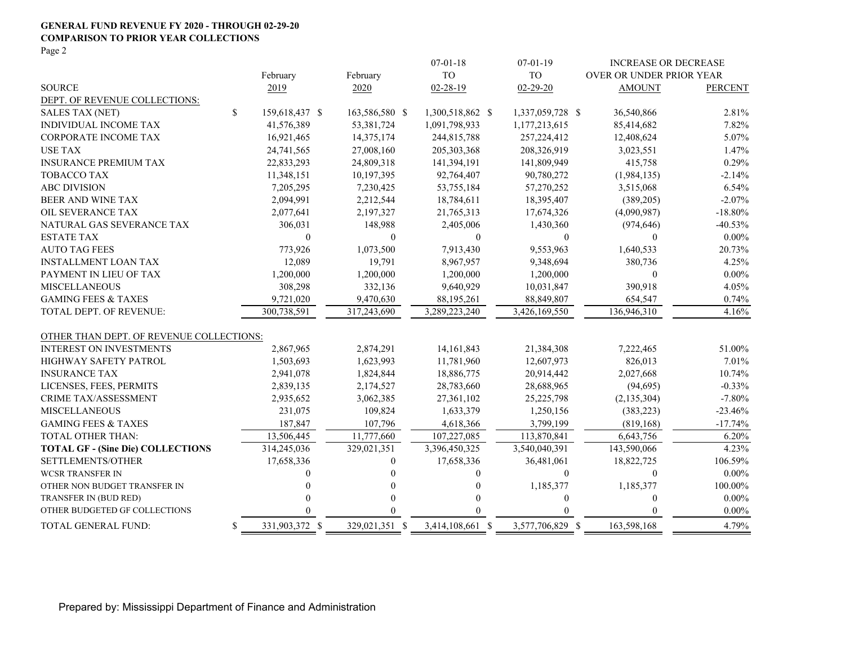#### **GENERAL FUND REVENUE FY 2020 - THROUGH 02-29-20 COMPARISON TO PRIOR YEAR COLLECTIONS**

Page 2

|                                          |                      |                | $07 - 01 - 18$   | $07 - 01 - 19$   | <b>INCREASE OR DECREASE</b> |                |
|------------------------------------------|----------------------|----------------|------------------|------------------|-----------------------------|----------------|
|                                          | February             | February       | <b>TO</b>        | <b>TO</b>        | OVER OR UNDER PRIOR YEAR    |                |
| <b>SOURCE</b>                            | 2019                 | 2020           | $02 - 28 - 19$   | $02 - 29 - 20$   | <b>AMOUNT</b>               | <b>PERCENT</b> |
| DEPT. OF REVENUE COLLECTIONS:            |                      |                |                  |                  |                             |                |
| <b>SALES TAX (NET)</b>                   | \$<br>159,618,437 \$ | 163,586,580 \$ | 1,300,518,862 \$ | 1,337,059,728 \$ | 36,540,866                  | 2.81%          |
| INDIVIDUAL INCOME TAX                    | 41,576,389           | 53,381,724     | 1,091,798,933    | 1,177,213,615    | 85,414,682                  | 7.82%          |
| <b>CORPORATE INCOME TAX</b>              | 16,921,465           | 14,375,174     | 244,815,788      | 257,224,412      | 12,408,624                  | 5.07%          |
| <b>USE TAX</b>                           | 24,741,565           | 27,008,160     | 205, 303, 368    | 208,326,919      | 3,023,551                   | 1.47%          |
| <b>INSURANCE PREMIUM TAX</b>             | 22,833,293           | 24,809,318     | 141,394,191      | 141,809,949      | 415,758                     | 0.29%          |
| <b>TOBACCO TAX</b>                       | 11,348,151           | 10,197,395     | 92,764,407       | 90,780,272       | (1,984,135)                 | $-2.14%$       |
| <b>ABC DIVISION</b>                      | 7,205,295            | 7,230,425      | 53,755,184       | 57,270,252       | 3,515,068                   | 6.54%          |
| BEER AND WINE TAX                        | 2,094,991            | 2,212,544      | 18,784,611       | 18,395,407       | (389,205)                   | $-2.07\%$      |
| OIL SEVERANCE TAX                        | 2,077,641            | 2,197,327      | 21,765,313       | 17,674,326       | (4,090,987)                 | $-18.80\%$     |
| NATURAL GAS SEVERANCE TAX                | 306,031              | 148,988        | 2,405,006        | 1,430,360        | (974, 646)                  | $-40.53%$      |
| <b>ESTATE TAX</b>                        | $\mathbf{0}$         | $\mathbf{0}$   | $\mathbf{0}$     | $\mathbf{0}$     | $\theta$                    | $0.00\%$       |
| <b>AUTO TAG FEES</b>                     | 773,926              | 1,073,500      | 7,913,430        | 9,553,963        | 1,640,533                   | 20.73%         |
| <b>INSTALLMENT LOAN TAX</b>              | 12,089               | 19,791         | 8,967,957        | 9,348,694        | 380,736                     | 4.25%          |
| PAYMENT IN LIEU OF TAX                   | 1,200,000            | 1,200,000      | 1,200,000        | 1,200,000        | $\mathbf{0}$                | $0.00\%$       |
| <b>MISCELLANEOUS</b>                     | 308,298              | 332,136        | 9,640,929        | 10,031,847       | 390,918                     | 4.05%          |
| <b>GAMING FEES &amp; TAXES</b>           | 9,721,020            | 9,470,630      | 88,195,261       | 88,849,807       | 654,547                     | 0.74%          |
| TOTAL DEPT. OF REVENUE:                  | 300,738,591          | 317,243,690    | 3,289,223,240    | 3,426,169,550    | 136,946,310                 | 4.16%          |
|                                          |                      |                |                  |                  |                             |                |
| OTHER THAN DEPT. OF REVENUE COLLECTIONS: |                      |                |                  |                  |                             |                |
| <b>INTEREST ON INVESTMENTS</b>           | 2,867,965            | 2,874,291      | 14,161,843       | 21,384,308       | 7,222,465                   | 51.00%         |
| <b>HIGHWAY SAFETY PATROL</b>             | 1,503,693            | 1,623,993      | 11,781,960       | 12,607,973       | 826,013                     | 7.01%          |
| <b>INSURANCE TAX</b>                     | 2,941,078            | 1,824,844      | 18,886,775       | 20,914,442       | 2,027,668                   | 10.74%         |
| LICENSES, FEES, PERMITS                  | 2,839,135            | 2,174,527      | 28,783,660       | 28,688,965       | (94, 695)                   | $-0.33%$       |
| CRIME TAX/ASSESSMENT                     | 2,935,652            | 3,062,385      | 27,361,102       | 25,225,798       | (2, 135, 304)               | $-7.80%$       |
| <b>MISCELLANEOUS</b>                     | 231,075              | 109,824        | 1,633,379        | 1,250,156        | (383, 223)                  | $-23.46%$      |
| <b>GAMING FEES &amp; TAXES</b>           | 187,847              | 107,796        | 4,618,366        | 3,799,199        | (819, 168)                  | $-17.74%$      |
| TOTAL OTHER THAN:                        | 13,506,445           | 11,777,660     | 107,227,085      | 113,870,841      | 6,643,756                   | 6.20%          |
| <b>TOTAL GF - (Sine Die) COLLECTIONS</b> | 314,245,036          | 329,021,351    | 3,396,450,325    | 3,540,040,391    | 143,590,066                 | 4.23%          |
| SETTLEMENTS/OTHER                        | 17,658,336           | $\theta$       | 17,658,336       | 36,481,061       | 18,822,725                  | 106.59%        |
| <b>WCSR TRANSFER IN</b>                  |                      | $\Omega$       | $\theta$         | $\mathbf{0}$     | $\mathbf{0}$                | $0.00\%$       |
| OTHER NON BUDGET TRANSFER IN             |                      | 0              | $\theta$         | 1,185,377        | 1,185,377                   | 100.00%        |
| TRANSFER IN (BUD RED)                    |                      | $\theta$       | $\Omega$         | $\mathbf{0}$     | $\theta$                    | $0.00\%$       |
| OTHER BUDGETED GF COLLECTIONS            |                      | $\Omega$       |                  | $\theta$         | $\theta$                    | $0.00\%$       |
| TOTAL GENERAL FUND:                      | \$<br>331,903,372 \$ | 329,021,351 \$ | 3,414,108,661 \$ | 3,577,706,829 \$ | 163,598,168                 | 4.79%          |